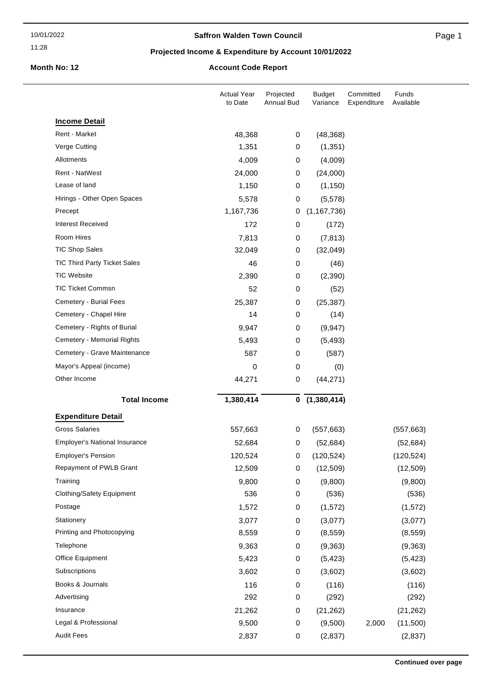#### 11:28

### **Saffron Walden Town Council**

Page 1

### **Projected Income & Expenditure by Account 10/01/2022**

# **Month No: 12 Account Code Report**

|                                      | <b>Actual Year</b><br>to Date | Projected<br>Annual Bud | <b>Budget</b><br>Variance | Committed<br>Expenditure | Funds<br>Available |
|--------------------------------------|-------------------------------|-------------------------|---------------------------|--------------------------|--------------------|
| <b>Income Detail</b>                 |                               |                         |                           |                          |                    |
| Rent - Market                        | 48,368                        | 0                       | (48, 368)                 |                          |                    |
| Verge Cutting                        | 1,351                         | 0                       | (1, 351)                  |                          |                    |
| Allotments                           | 4,009                         | 0                       | (4,009)                   |                          |                    |
| Rent - NatWest                       | 24,000                        | 0                       | (24,000)                  |                          |                    |
| Lease of land                        | 1,150                         | 0                       | (1, 150)                  |                          |                    |
| Hirings - Other Open Spaces          | 5,578                         | 0                       | (5,578)                   |                          |                    |
| Precept                              | 1,167,736                     | 0                       | (1, 167, 736)             |                          |                    |
| <b>Interest Received</b>             | 172                           | 0                       | (172)                     |                          |                    |
| Room Hires                           | 7,813                         | 0                       | (7, 813)                  |                          |                    |
| <b>TIC Shop Sales</b>                | 32,049                        | 0                       | (32,049)                  |                          |                    |
| <b>TIC Third Party Ticket Sales</b>  | 46                            | 0                       | (46)                      |                          |                    |
| <b>TIC Website</b>                   | 2,390                         | 0                       | (2,390)                   |                          |                    |
| <b>TIC Ticket Commsn</b>             | 52                            | 0                       | (52)                      |                          |                    |
| Cemetery - Burial Fees               | 25,387                        | 0                       | (25, 387)                 |                          |                    |
| Cemetery - Chapel Hire               | 14                            | 0                       | (14)                      |                          |                    |
| Cemetery - Rights of Burial          | 9,947                         | 0                       | (9, 947)                  |                          |                    |
| Cemetery - Memorial Rights           | 5,493                         | 0                       | (5, 493)                  |                          |                    |
| Cemetery - Grave Maintenance         | 587                           | 0                       | (587)                     |                          |                    |
| Mayor's Appeal (income)              | 0                             | 0                       | (0)                       |                          |                    |
| Other Income                         | 44,271                        | 0                       | (44, 271)                 |                          |                    |
| <b>Total Income</b>                  | 1,380,414                     | 0                       | (1,380,414)               |                          |                    |
| <b>Expenditure Detail</b>            |                               |                         |                           |                          |                    |
| <b>Gross Salaries</b>                | 557,663                       | 0                       | (557, 663)                |                          | (557, 663)         |
| <b>Employer's National Insurance</b> | 52,684                        | 0                       | (52, 684)                 |                          | (52, 684)          |
| <b>Employer's Pension</b>            | 120,524                       | 0                       | (120, 524)                |                          | (120, 524)         |
| Repayment of PWLB Grant              | 12,509                        | 0                       | (12, 509)                 |                          | (12, 509)          |
| Training                             | 9,800                         | 0                       | (9,800)                   |                          | (9,800)            |
| Clothing/Safety Equipment            | 536                           | 0                       | (536)                     |                          | (536)              |
| Postage                              | 1,572                         | 0                       | (1, 572)                  |                          | (1, 572)           |
| Stationery                           | 3,077                         | 0                       | (3,077)                   |                          | (3,077)            |
| Printing and Photocopying            | 8,559                         | 0                       | (8, 559)                  |                          | (8, 559)           |
| Telephone                            | 9,363                         | 0                       | (9, 363)                  |                          | (9,363)            |
| Office Equipment                     | 5,423                         | 0                       | (5, 423)                  |                          | (5, 423)           |
| Subscriptions                        | 3,602                         | 0                       | (3,602)                   |                          | (3,602)            |
| Books & Journals                     | 116                           | 0                       | (116)                     |                          | (116)              |
| Advertising                          | 292                           | 0                       | (292)                     |                          | (292)              |
| Insurance                            | 21,262                        | 0                       | (21, 262)                 |                          | (21, 262)          |
| Legal & Professional                 | 9,500                         | 0                       | (9,500)                   | 2,000                    | (11,500)           |
| <b>Audit Fees</b>                    | 2,837                         | 0                       | (2, 837)                  |                          | (2, 837)           |
|                                      |                               |                         |                           |                          |                    |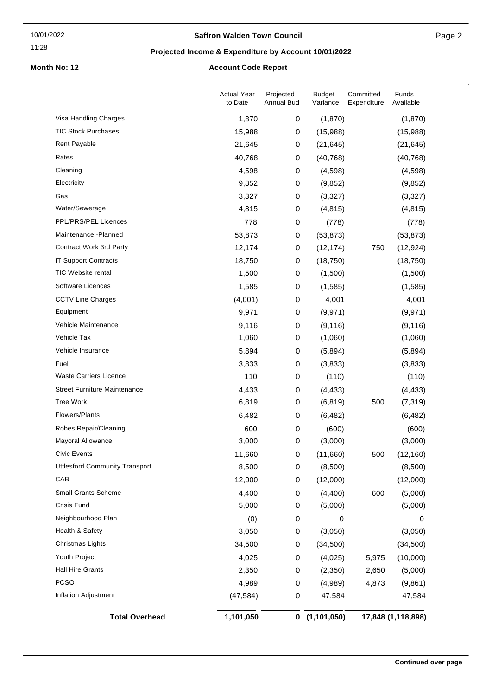#### 11:28

### **Saffron Walden Town Council**

### **Projected Income & Expenditure by Account 10/01/2022**

# **Month No: 12 Account Code Report**

| Inflation Adjustment                  | (47, 584)                     | 0                              | 47,584                    |                          | 47,584             |
|---------------------------------------|-------------------------------|--------------------------------|---------------------------|--------------------------|--------------------|
| <b>PCSO</b>                           | 4,989                         | $\pmb{0}$                      | (4,989)                   | 4,873                    | (9,861)            |
| <b>Hall Hire Grants</b>               | 2,350                         | 0                              | (2,350)                   | 2,650                    | (5,000)            |
| Youth Project                         | 4,025                         | 0                              | (4,025)                   | 5,975                    | (10,000)           |
| Christmas Lights                      | 34,500                        | 0                              | (34,500)                  |                          | (34,500)           |
| Health & Safety                       | 3,050                         | $\pmb{0}$                      | (3,050)                   |                          | (3,050)            |
| Neighbourhood Plan                    | (0)                           | 0                              | 0                         |                          | 0                  |
| Crisis Fund                           | 5,000                         | 0                              | (5,000)                   |                          | (5,000)            |
| <b>Small Grants Scheme</b>            | 4,400                         | 0                              | (4,400)                   | 600                      | (5,000)            |
| CAB                                   | 12,000                        | 0                              | (12,000)                  |                          | (12,000)           |
| <b>Uttlesford Community Transport</b> | 8,500                         | 0                              | (8,500)                   |                          | (8,500)            |
| <b>Civic Events</b>                   | 11,660                        | 0                              | (11,660)                  | 500                      | (12, 160)          |
| Mayoral Allowance                     | 3,000                         | 0                              | (3,000)                   |                          | (3,000)            |
| Robes Repair/Cleaning                 | 600                           | $\pmb{0}$                      | (600)                     |                          | (600)              |
| Flowers/Plants                        | 6,482                         | 0                              | (6, 482)                  |                          | (6, 482)           |
| <b>Tree Work</b>                      | 6,819                         | 0                              | (6, 819)                  | 500                      | (7, 319)           |
| <b>Street Furniture Maintenance</b>   | 4,433                         | $\pmb{0}$                      | (4, 433)                  |                          | (4, 433)           |
| <b>Waste Carriers Licence</b>         | 110                           | 0                              | (110)                     |                          | (110)              |
| Fuel                                  | 3,833                         | $\pmb{0}$                      | (3,833)                   |                          | (3,833)            |
| Vehicle Insurance                     | 5,894                         | 0                              | (5,894)                   |                          | (5,894)            |
| Vehicle Tax                           | 1,060                         | 0                              | (1,060)                   |                          | (1,060)            |
| Vehicle Maintenance                   | 9,116                         | $\pmb{0}$                      | (9, 116)                  |                          | (9, 116)           |
| Equipment                             | 9,971                         | 0                              | (9,971)                   |                          | (9, 971)           |
| <b>CCTV Line Charges</b>              | (4,001)                       | $\pmb{0}$                      | 4,001                     |                          | 4,001              |
| Software Licences                     | 1,585                         | 0                              | (1,585)                   |                          | (1,585)            |
| <b>TIC Website rental</b>             | 1,500                         | 0                              | (1,500)                   |                          | (1,500)            |
| <b>IT Support Contracts</b>           | 18,750                        | $\pmb{0}$                      | (18, 750)                 |                          | (18, 750)          |
| Contract Work 3rd Party               | 12,174                        | 0                              | (12, 174)                 | 750                      | (12, 924)          |
| Maintenance - Planned                 | 53,873                        | 0                              | (53, 873)                 |                          | (53, 873)          |
| PPL/PRS/PEL Licences                  | 778                           | 0                              | (778)                     |                          | (778)              |
| Water/Sewerage                        | 4,815                         | $\pmb{0}$                      | (4, 815)                  |                          | (4, 815)           |
| Gas                                   | 3,327                         | $\pmb{0}$                      | (3,327)                   |                          | (3,327)            |
| Electricity                           | 9,852                         | 0                              | (9, 852)                  |                          | (9,852)            |
| Cleaning                              | 4,598                         | $\pmb{0}$                      | (4,598)                   |                          | (4,598)            |
| Rates                                 | 40,768                        | 0                              | (40, 768)                 |                          | (40, 768)          |
| Rent Payable                          | 21,645                        | 0                              | (21, 645)                 |                          | (21, 645)          |
| <b>TIC Stock Purchases</b>            | 15,988                        | $\mathbf 0$                    | (15,988)                  |                          | (15,988)           |
| Visa Handling Charges                 | 1,870                         | 0                              | (1,870)                   |                          | (1,870)            |
|                                       | <b>Actual Year</b><br>to Date | Projected<br><b>Annual Bud</b> | <b>Budget</b><br>Variance | Committed<br>Expenditure | Funds<br>Available |